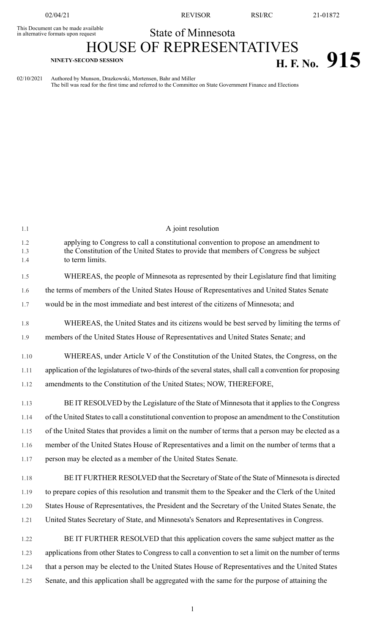02/04/21 REVISOR RSI/RC 21-01872

## State of Minnesota This Document can be made available in alternative formats upon request

## HOUSE OF REPRESENTATIVES **H. F.** No. 915

02/10/2021 Authored by Munson, Drazkowski, Mortensen, Bahr and Miller The bill was read for the first time and referred to the Committee on State Government Finance and Elections

| 1.1               | A joint resolution                                                                                                                                                                             |
|-------------------|------------------------------------------------------------------------------------------------------------------------------------------------------------------------------------------------|
| 1.2<br>1.3<br>1.4 | applying to Congress to call a constitutional convention to propose an amendment to<br>the Constitution of the United States to provide that members of Congress be subject<br>to term limits. |
| 1.5               | WHEREAS, the people of Minnesota as represented by their Legislature find that limiting                                                                                                        |
| 1.6               | the terms of members of the United States House of Representatives and United States Senate                                                                                                    |
| 1.7               | would be in the most immediate and best interest of the citizens of Minnesota; and                                                                                                             |
| 1.8               | WHEREAS, the United States and its citizens would be best served by limiting the terms of                                                                                                      |
| 1.9               | members of the United States House of Representatives and United States Senate; and                                                                                                            |
| 1.10              | WHEREAS, under Article V of the Constitution of the United States, the Congress, on the                                                                                                        |
| 1.11              | application of the legislatures of two-thirds of the several states, shall call a convention for proposing                                                                                     |
| 1.12              | amendments to the Constitution of the United States; NOW, THEREFORE,                                                                                                                           |
| 1.13              | BE IT RESOLVED by the Legislature of the State of Minnesota that it applies to the Congress                                                                                                    |
| 1.14              | of the United States to call a constitutional convention to propose an amendment to the Constitution                                                                                           |
| 1.15              | of the United States that provides a limit on the number of terms that a person may be elected as a                                                                                            |
| 1.16              | member of the United States House of Representatives and a limit on the number of terms that a                                                                                                 |
| 1.17              | person may be elected as a member of the United States Senate.                                                                                                                                 |
| 1.18              | BE IT FURTHER RESOLVED that the Secretary of State of the State of Minnesota is directed                                                                                                       |
| 1.19              | to prepare copies of this resolution and transmit them to the Speaker and the Clerk of the United                                                                                              |
| 1.20              | States House of Representatives, the President and the Secretary of the United States Senate, the                                                                                              |
| 1.21              | United States Secretary of State, and Minnesota's Senators and Representatives in Congress.                                                                                                    |
| 1.22              | BE IT FURTHER RESOLVED that this application covers the same subject matter as the                                                                                                             |
| 1.23              | applications from other States to Congress to call a convention to set a limit on the number of terms                                                                                          |
| 1.24              | that a person may be elected to the United States House of Representatives and the United States                                                                                               |
| 1.25              | Senate, and this application shall be aggregated with the same for the purpose of attaining the                                                                                                |